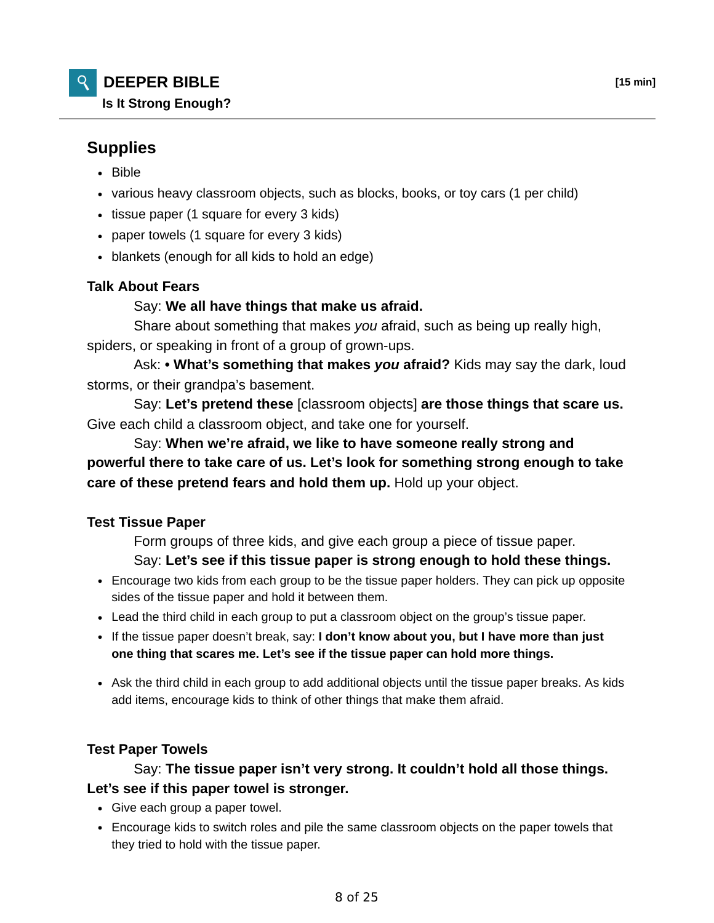# **Supplies**

- Bible
- various heavy classroom objects, such as blocks, books, or toy cars (1 per child)
- tissue paper (1 square for every 3 kids)
- paper towels (1 square for every 3 kids)
- blankets (enough for all kids to hold an edge)

## **Talk About Fears**

## Say: **We all have things that make us afraid.**

 Share about something that makes *you* afraid, such as being up really high, spiders, or speaking in front of a group of grown-ups.

 Ask: **• What's something that makes** *you* **afraid?** Kids may say the dark, loud storms, or their grandpa's basement.

 Say: **Let's pretend these** [classroom objects] **are those things that scare us.** Give each child a classroom object, and take one for yourself.

 Say: **When we're afraid, we like to have someone really strong and powerful there to take care of us. Let's look for something strong enough to take care of these pretend fears and hold them up.** Hold up your object.

## **Test Tissue Paper**

Form groups of three kids, and give each group a piece of tissue paper.

#### Say: **Let's see if this tissue paper is strong enough to hold these things.**

- Encourage two kids from each group to be the tissue paper holders. They can pick up opposite sides of the tissue paper and hold it between them.
- Lead the third child in each group to put a classroom object on the group's tissue paper.
- If the tissue paper doesn't break, say: **I don't know about you, but I have more than just one thing that scares me. Let's see if the tissue paper can hold more things.**
- Ask the third child in each group to add additional objects until the tissue paper breaks. As kids add items, encourage kids to think of other things that make them afraid.

#### **Test Paper Towels**

# Say: **The tissue paper isn't very strong. It couldn't hold all those things. Let's see if this paper towel is stronger.**

- Give each group a paper towel.
- Encourage kids to switch roles and pile the same classroom objects on the paper towels that they tried to hold with the tissue paper.